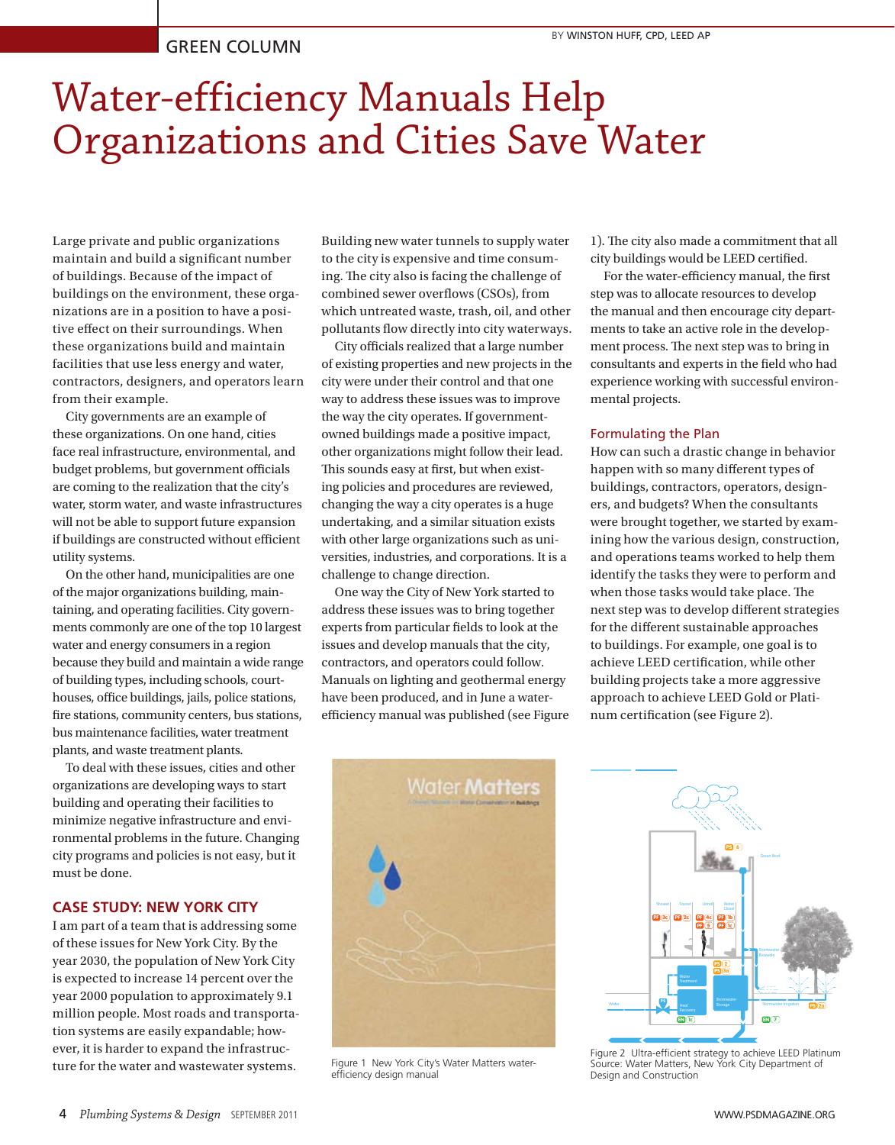# Water-efficiency Manuals Help Organizations and Cities Save Water

Large private and public organizations maintain and build a significant number of buildings. Because of the impact of buildings on the environment, these organizations are in a position to have a positive effect on their surroundings. When these organizations build and maintain facilities that use less energy and water, contractors, designers, and operators learn from their example.

City governments are an example of these organizations. On one hand, cities face real infrastructure, environmental, and budget problems, but government officials are coming to the realization that the city's water, storm water, and waste infrastructures will not be able to support future expansion if buildings are constructed without efficient utility systems.

On the other hand, municipalities are one of the major organizations building, maintaining, and operating facilities. City governments commonly are one of the top 10 largest water and energy consumers in a region because they build and maintain a wide range of building types, including schools, courthouses, office buildings, jails, police stations, fire stations, community centers, bus stations, bus maintenance facilities, water treatment plants, and waste treatment plants.

To deal with these issues, cities and other organizations are developing ways to start building and operating their facilities to minimize negative infrastructure and environmental problems in the future. Changing city programs and policies is not easy, but it must be done.

## **CASE STUDY: NEW YORK CITY**

I am part of a team that is addressing some of these issues for New York City. By the year 2030, the population of New York City is expected to increase 14 percent over the year 2000 population to approximately 9.1 million people. Most roads and transportation systems are easily expandable; however, it is harder to expand the infrastructure for the water and wastewater systems.

Building new water tunnels to supply water to the city is expensive and time consuming. The city also is facing the challenge of combined sewer overflows (CSOs), from which untreated waste, trash, oil, and other pollutants flow directly into city waterways.

City officials realized that a large number of existing properties and new projects in the city were under their control and that one way to address these issues was to improve the way the city operates. If governmentowned buildings made a positive impact, other organizations might follow their lead. This sounds easy at first, but when existing policies and procedures are reviewed, changing the way a city operates is a huge undertaking, and a similar situation exists with other large organizations such as universities, industries, and corporations. It is a challenge to change direction.

One way the City of New York started to address these issues was to bring together experts from particular fields to look at the issues and develop manuals that the city, contractors, and operators could follow. Manuals on lighting and geothermal energy have been produced, and in June a waterefficiency manual was published (see Figure 1). The city also made a commitment that all city buildings would be LEED certified.

For the water-efficiency manual, the first step was to allocate resources to develop the manual and then encourage city departments to take an active role in the development process. The next step was to bring in consultants and experts in the field who had experience working with successful environmental projects.

#### Formulating the Plan

How can such a drastic change in behavior happen with so many different types of buildings, contractors, operators, designers, and budgets? When the consultants were brought together, we started by examining how the various design, construction, and operations teams worked to help them identify the tasks they were to perform and when those tasks would take place. The next step was to develop different strategies for the different sustainable approaches to buildings. For example, one goal is to achieve LEED certification, while other building projects take a more aggressive approach to achieve LEED Gold or Platinum certification (see Figure 2).



Figure 1 New York City's Water Matters waterefficiency design manual



Source: Water Matters, New York City Department of Figure 2 Ultra-efficient strategy to achieve LEED Platinum Design and Construction